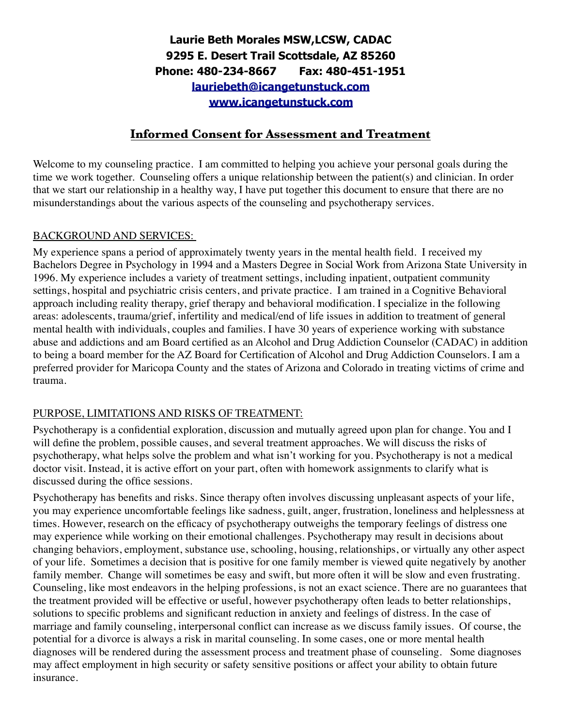# **Laurie Beth Morales MSW,LCSW, CADAC 9295 E. Desert Trail Scottsdale, AZ 85260 Phone: 480-234-8667 Fax: 480-451-1951 [lauriebeth@icangetunstuck.com](mailto:lauriebeth@icangetunstuck.com) [www.icangetunstuck.com](http://www.icangetunstuck.com)**

### **Informed Consent for Assessment and Treatment**

Welcome to my counseling practice. I am committed to helping you achieve your personal goals during the time we work together. Counseling offers a unique relationship between the patient(s) and clinician. In order that we start our relationship in a healthy way, I have put together this document to ensure that there are no misunderstandings about the various aspects of the counseling and psychotherapy services.

### BACKGROUND AND SERVICES:

My experience spans a period of approximately twenty years in the mental health field. I received my Bachelors Degree in Psychology in 1994 and a Masters Degree in Social Work from Arizona State University in 1996. My experience includes a variety of treatment settings, including inpatient, outpatient community settings, hospital and psychiatric crisis centers, and private practice. I am trained in a Cognitive Behavioral approach including reality therapy, grief therapy and behavioral modification. I specialize in the following areas: adolescents, trauma/grief, infertility and medical/end of life issues in addition to treatment of general mental health with individuals, couples and families. I have 30 years of experience working with substance abuse and addictions and am Board certified as an Alcohol and Drug Addiction Counselor (CADAC) in addition to being a board member for the AZ Board for Certification of Alcohol and Drug Addiction Counselors. I am a preferred provider for Maricopa County and the states of Arizona and Colorado in treating victims of crime and trauma.

### PURPOSE, LIMITATIONS AND RISKS OF TREATMENT:

Psychotherapy is a confidential exploration, discussion and mutually agreed upon plan for change. You and I will define the problem, possible causes, and several treatment approaches. We will discuss the risks of psychotherapy, what helps solve the problem and what isn't working for you. Psychotherapy is not a medical doctor visit. Instead, it is active effort on your part, often with homework assignments to clarify what is discussed during the office sessions.

Psychotherapy has benefits and risks. Since therapy often involves discussing unpleasant aspects of your life, you may experience uncomfortable feelings like sadness, guilt, anger, frustration, loneliness and helplessness at times. However, research on the efficacy of psychotherapy outweighs the temporary feelings of distress one may experience while working on their emotional challenges. Psychotherapy may result in decisions about changing behaviors, employment, substance use, schooling, housing, relationships, or virtually any other aspect of your life. Sometimes a decision that is positive for one family member is viewed quite negatively by another family member. Change will sometimes be easy and swift, but more often it will be slow and even frustrating. Counseling, like most endeavors in the helping professions, is not an exact science. There are no guarantees that the treatment provided will be effective or useful, however psychotherapy often leads to better relationships, solutions to specific problems and significant reduction in anxiety and feelings of distress. In the case of marriage and family counseling, interpersonal conflict can increase as we discuss family issues. Of course, the potential for a divorce is always a risk in marital counseling. In some cases, one or more mental health diagnoses will be rendered during the assessment process and treatment phase of counseling. Some diagnoses may affect employment in high security or safety sensitive positions or affect your ability to obtain future insurance.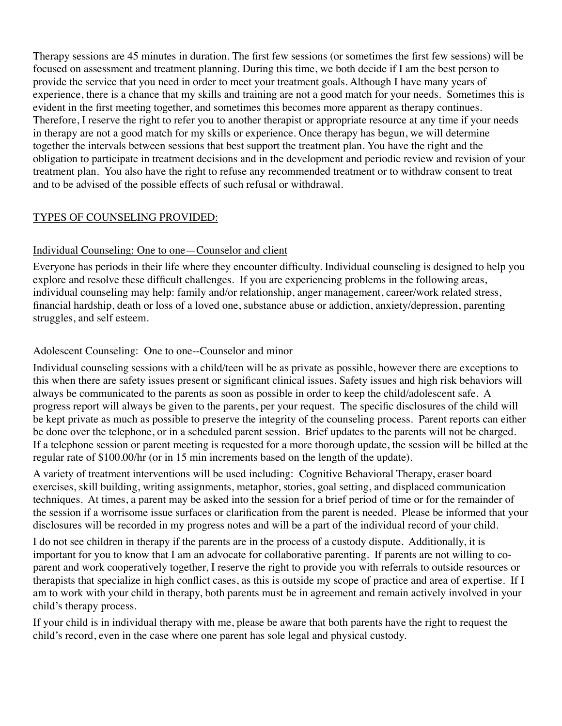Therapy sessions are 45 minutes in duration. The first few sessions (or sometimes the first few sessions) will be focused on assessment and treatment planning. During this time, we both decide if I am the best person to provide the service that you need in order to meet your treatment goals. Although I have many years of experience, there is a chance that my skills and training are not a good match for your needs. Sometimes this is evident in the first meeting together, and sometimes this becomes more apparent as therapy continues. Therefore, I reserve the right to refer you to another therapist or appropriate resource at any time if your needs in therapy are not a good match for my skills or experience. Once therapy has begun, we will determine together the intervals between sessions that best support the treatment plan. You have the right and the obligation to participate in treatment decisions and in the development and periodic review and revision of your treatment plan. You also have the right to refuse any recommended treatment or to withdraw consent to treat and to be advised of the possible effects of such refusal or withdrawal.

### TYPES OF COUNSELING PROVIDED:

### Individual Counseling: One to one—Counselor and client

Everyone has periods in their life where they encounter difficulty. Individual counseling is designed to help you explore and resolve these difficult challenges. If you are experiencing problems in the following areas, individual counseling may help: family and/or relationship, anger management, career/work related stress, financial hardship, death or loss of a loved one, substance abuse or addiction, anxiety/depression, parenting struggles, and self esteem.

### Adolescent Counseling: One to one--Counselor and minor

Individual counseling sessions with a child/teen will be as private as possible, however there are exceptions to this when there are safety issues present or significant clinical issues. Safety issues and high risk behaviors will always be communicated to the parents as soon as possible in order to keep the child/adolescent safe. A progress report will always be given to the parents, per your request. The specific disclosures of the child will be kept private as much as possible to preserve the integrity of the counseling process. Parent reports can either be done over the telephone, or in a scheduled parent session. Brief updates to the parents will not be charged. If a telephone session or parent meeting is requested for a more thorough update, the session will be billed at the regular rate of \$100.00/hr (or in 15 min increments based on the length of the update).

A variety of treatment interventions will be used including: Cognitive Behavioral Therapy, eraser board exercises, skill building, writing assignments, metaphor, stories, goal setting, and displaced communication techniques. At times, a parent may be asked into the session for a brief period of time or for the remainder of the session if a worrisome issue surfaces or clarification from the parent is needed. Please be informed that your disclosures will be recorded in my progress notes and will be a part of the individual record of your child.

I do not see children in therapy if the parents are in the process of a custody dispute. Additionally, it is important for you to know that I am an advocate for collaborative parenting. If parents are not willing to coparent and work cooperatively together, I reserve the right to provide you with referrals to outside resources or therapists that specialize in high conflict cases, as this is outside my scope of practice and area of expertise. If I am to work with your child in therapy, both parents must be in agreement and remain actively involved in your child's therapy process.

If your child is in individual therapy with me, please be aware that both parents have the right to request the child's record, even in the case where one parent has sole legal and physical custody.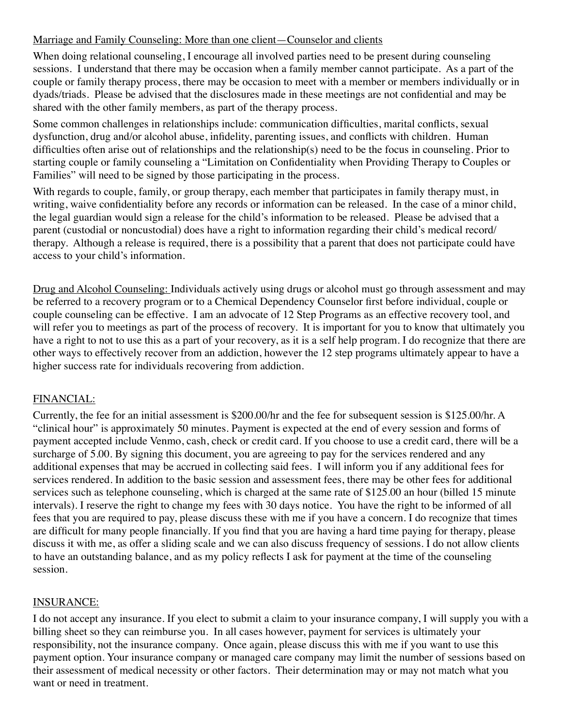### Marriage and Family Counseling: More than one client—Counselor and clients

When doing relational counseling, I encourage all involved parties need to be present during counseling sessions. I understand that there may be occasion when a family member cannot participate. As a part of the couple or family therapy process, there may be occasion to meet with a member or members individually or in dyads/triads. Please be advised that the disclosures made in these meetings are not confidential and may be shared with the other family members, as part of the therapy process.

Some common challenges in relationships include: communication difficulties, marital conflicts, sexual dysfunction, drug and/or alcohol abuse, infidelity, parenting issues, and conflicts with children. Human difficulties often arise out of relationships and the relationship(s) need to be the focus in counseling. Prior to starting couple or family counseling a "Limitation on Confidentiality when Providing Therapy to Couples or Families" will need to be signed by those participating in the process.

With regards to couple, family, or group therapy, each member that participates in family therapy must, in writing, waive confidentiality before any records or information can be released. In the case of a minor child, the legal guardian would sign a release for the child's information to be released. Please be advised that a parent (custodial or noncustodial) does have a right to information regarding their child's medical record/ therapy. Although a release is required, there is a possibility that a parent that does not participate could have access to your child's information.

Drug and Alcohol Counseling: Individuals actively using drugs or alcohol must go through assessment and may be referred to a recovery program or to a Chemical Dependency Counselor first before individual, couple or couple counseling can be effective. I am an advocate of 12 Step Programs as an effective recovery tool, and will refer you to meetings as part of the process of recovery. It is important for you to know that ultimately you have a right to not to use this as a part of your recovery, as it is a self help program. I do recognize that there are other ways to effectively recover from an addiction, however the 12 step programs ultimately appear to have a higher success rate for individuals recovering from addiction.

### FINANCIAL:

Currently, the fee for an initial assessment is \$200.00/hr and the fee for subsequent session is \$125.00/hr. A "clinical hour" is approximately 50 minutes. Payment is expected at the end of every session and forms of payment accepted include Venmo, cash, check or credit card. If you choose to use a credit card, there will be a surcharge of 5.00. By signing this document, you are agreeing to pay for the services rendered and any additional expenses that may be accrued in collecting said fees. I will inform you if any additional fees for services rendered. In addition to the basic session and assessment fees, there may be other fees for additional services such as telephone counseling, which is charged at the same rate of \$125.00 an hour (billed 15 minute intervals). I reserve the right to change my fees with 30 days notice. You have the right to be informed of all fees that you are required to pay, please discuss these with me if you have a concern. I do recognize that times are difficult for many people financially. If you find that you are having a hard time paying for therapy, please discuss it with me, as offer a sliding scale and we can also discuss frequency of sessions. I do not allow clients to have an outstanding balance, and as my policy reflects I ask for payment at the time of the counseling session.

### INSURANCE:

I do not accept any insurance. If you elect to submit a claim to your insurance company, I will supply you with a billing sheet so they can reimburse you. In all cases however, payment for services is ultimately your responsibility, not the insurance company. Once again, please discuss this with me if you want to use this payment option. Your insurance company or managed care company may limit the number of sessions based on their assessment of medical necessity or other factors. Their determination may or may not match what you want or need in treatment.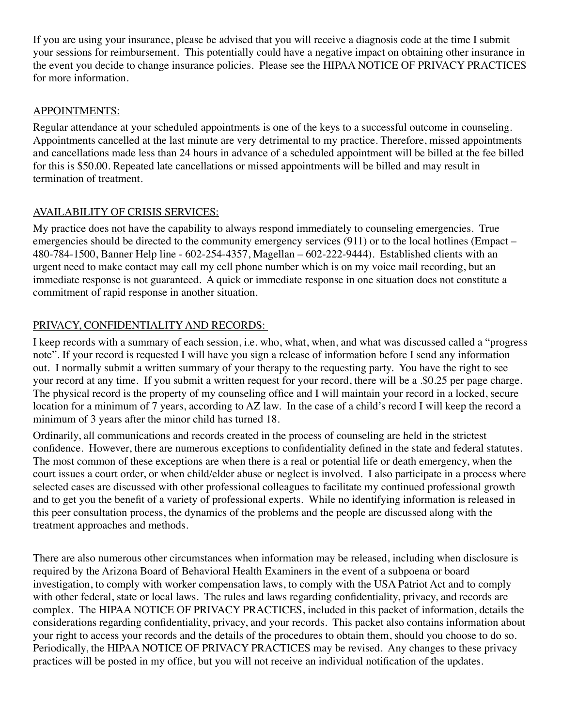If you are using your insurance, please be advised that you will receive a diagnosis code at the time I submit your sessions for reimbursement. This potentially could have a negative impact on obtaining other insurance in the event you decide to change insurance policies. Please see the HIPAA NOTICE OF PRIVACY PRACTICES for more information.

### APPOINTMENTS:

Regular attendance at your scheduled appointments is one of the keys to a successful outcome in counseling. Appointments cancelled at the last minute are very detrimental to my practice. Therefore, missed appointments and cancellations made less than 24 hours in advance of a scheduled appointment will be billed at the fee billed for this is \$50.00. Repeated late cancellations or missed appointments will be billed and may result in termination of treatment.

### AVAILABILITY OF CRISIS SERVICES:

My practice does not have the capability to always respond immediately to counseling emergencies. True emergencies should be directed to the community emergency services (911) or to the local hotlines (Empact – 480-784-1500, Banner Help line - 602-254-4357, Magellan – 602-222-9444). Established clients with an urgent need to make contact may call my cell phone number which is on my voice mail recording, but an immediate response is not guaranteed. A quick or immediate response in one situation does not constitute a commitment of rapid response in another situation.

## PRIVACY, CONFIDENTIALITY AND RECORDS:

I keep records with a summary of each session, i.e. who, what, when, and what was discussed called a "progress note". If your record is requested I will have you sign a release of information before I send any information out. I normally submit a written summary of your therapy to the requesting party. You have the right to see your record at any time. If you submit a written request for your record, there will be a .\$0.25 per page charge. The physical record is the property of my counseling office and I will maintain your record in a locked, secure location for a minimum of 7 years, according to AZ law. In the case of a child's record I will keep the record a minimum of 3 years after the minor child has turned 18.

Ordinarily, all communications and records created in the process of counseling are held in the strictest confidence. However, there are numerous exceptions to confidentiality defined in the state and federal statutes. The most common of these exceptions are when there is a real or potential life or death emergency, when the court issues a court order, or when child/elder abuse or neglect is involved. I also participate in a process where selected cases are discussed with other professional colleagues to facilitate my continued professional growth and to get you the benefit of a variety of professional experts. While no identifying information is released in this peer consultation process, the dynamics of the problems and the people are discussed along with the treatment approaches and methods.

There are also numerous other circumstances when information may be released, including when disclosure is required by the Arizona Board of Behavioral Health Examiners in the event of a subpoena or board investigation, to comply with worker compensation laws, to comply with the USA Patriot Act and to comply with other federal, state or local laws. The rules and laws regarding confidentiality, privacy, and records are complex. The HIPAA NOTICE OF PRIVACY PRACTICES, included in this packet of information, details the considerations regarding confidentiality, privacy, and your records. This packet also contains information about your right to access your records and the details of the procedures to obtain them, should you choose to do so. Periodically, the HIPAA NOTICE OF PRIVACY PRACTICES may be revised. Any changes to these privacy practices will be posted in my office, but you will not receive an individual notification of the updates.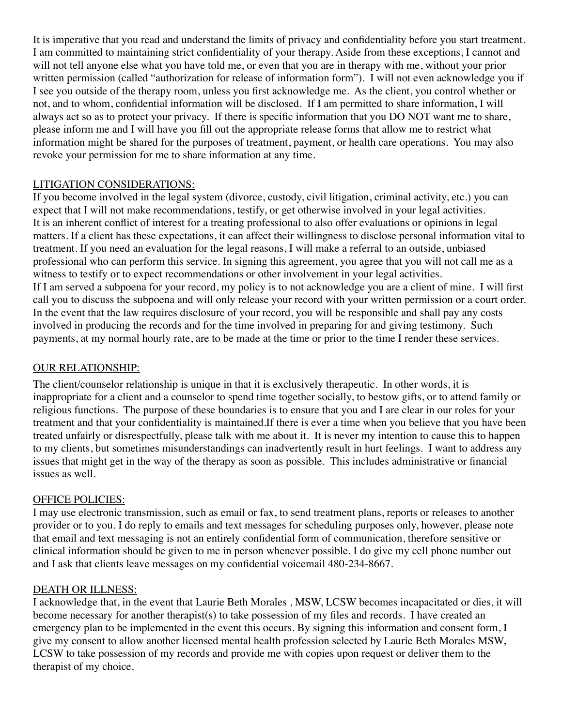It is imperative that you read and understand the limits of privacy and confidentiality before you start treatment. I am committed to maintaining strict confidentiality of your therapy. Aside from these exceptions, I cannot and will not tell anyone else what you have told me, or even that you are in therapy with me, without your prior written permission (called "authorization for release of information form"). I will not even acknowledge you if I see you outside of the therapy room, unless you first acknowledge me. As the client, you control whether or not, and to whom, confidential information will be disclosed. If I am permitted to share information, I will always act so as to protect your privacy. If there is specific information that you DO NOT want me to share, please inform me and I will have you fill out the appropriate release forms that allow me to restrict what information might be shared for the purposes of treatment, payment, or health care operations. You may also revoke your permission for me to share information at any time.

### LITIGATION CONSIDERATIONS:

If you become involved in the legal system (divorce, custody, civil litigation, criminal activity, etc.) you can expect that I will not make recommendations, testify, or get otherwise involved in your legal activities. It is an inherent conflict of interest for a treating professional to also offer evaluations or opinions in legal matters. If a client has these expectations, it can affect their willingness to disclose personal information vital to treatment. If you need an evaluation for the legal reasons, I will make a referral to an outside, unbiased professional who can perform this service. In signing this agreement, you agree that you will not call me as a witness to testify or to expect recommendations or other involvement in your legal activities. If I am served a subpoena for your record, my policy is to not acknowledge you are a client of mine. I will first call you to discuss the subpoena and will only release your record with your written permission or a court order. In the event that the law requires disclosure of your record, you will be responsible and shall pay any costs involved in producing the records and for the time involved in preparing for and giving testimony. Such payments, at my normal hourly rate, are to be made at the time or prior to the time I render these services.

### OUR RELATIONSHIP:

The client/counselor relationship is unique in that it is exclusively therapeutic. In other words, it is inappropriate for a client and a counselor to spend time together socially, to bestow gifts, or to attend family or religious functions. The purpose of these boundaries is to ensure that you and I are clear in our roles for your treatment and that your confidentiality is maintained.If there is ever a time when you believe that you have been treated unfairly or disrespectfully, please talk with me about it. It is never my intention to cause this to happen to my clients, but sometimes misunderstandings can inadvertently result in hurt feelings. I want to address any issues that might get in the way of the therapy as soon as possible. This includes administrative or financial issues as well.

### OFFICE POLICIES:

I may use electronic transmission, such as email or fax, to send treatment plans, reports or releases to another provider or to you. I do reply to emails and text messages for scheduling purposes only, however, please note that email and text messaging is not an entirely confidential form of communication, therefore sensitive or clinical information should be given to me in person whenever possible. I do give my cell phone number out and I ask that clients leave messages on my confidential voicemail 480-234-8667.

### DEATH OR ILLNESS:

I acknowledge that, in the event that Laurie Beth Morales , MSW, LCSW becomes incapacitated or dies, it will become necessary for another therapist(s) to take possession of my files and records. I have created an emergency plan to be implemented in the event this occurs. By signing this information and consent form, I give my consent to allow another licensed mental health profession selected by Laurie Beth Morales MSW, LCSW to take possession of my records and provide me with copies upon request or deliver them to the therapist of my choice.